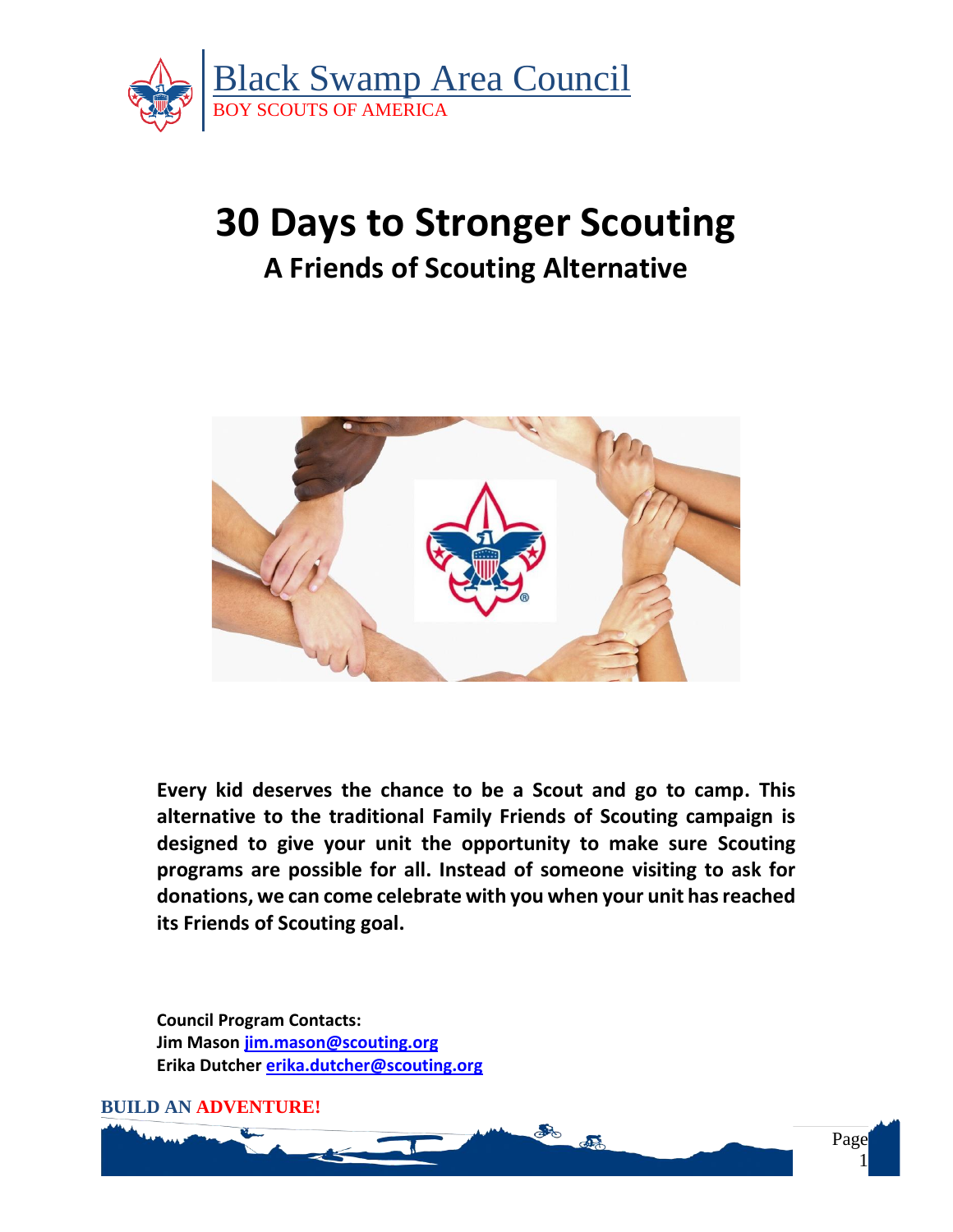

# **30 Days to Stronger Scouting A Friends of Scouting Alternative**



**Every kid deserves the chance to be a Scout and go to camp. This alternative to the traditional Family Friends of Scouting campaign is designed to give your unit the opportunity to make sure Scouting programs are possible for all. Instead of someone visiting to ask for donations, we can come celebrate with you when your unit has reached its Friends of Scouting goal.**

**Council Program Contacts: Jim Mason [jim.mason@scouting.org](mailto:jim.mason@scouting.org) Erika Dutcher [erika.dutcher@scouting.org](mailto:erika.dutcher@scouting.org)**

**BUILD AN ADVENTURE!**

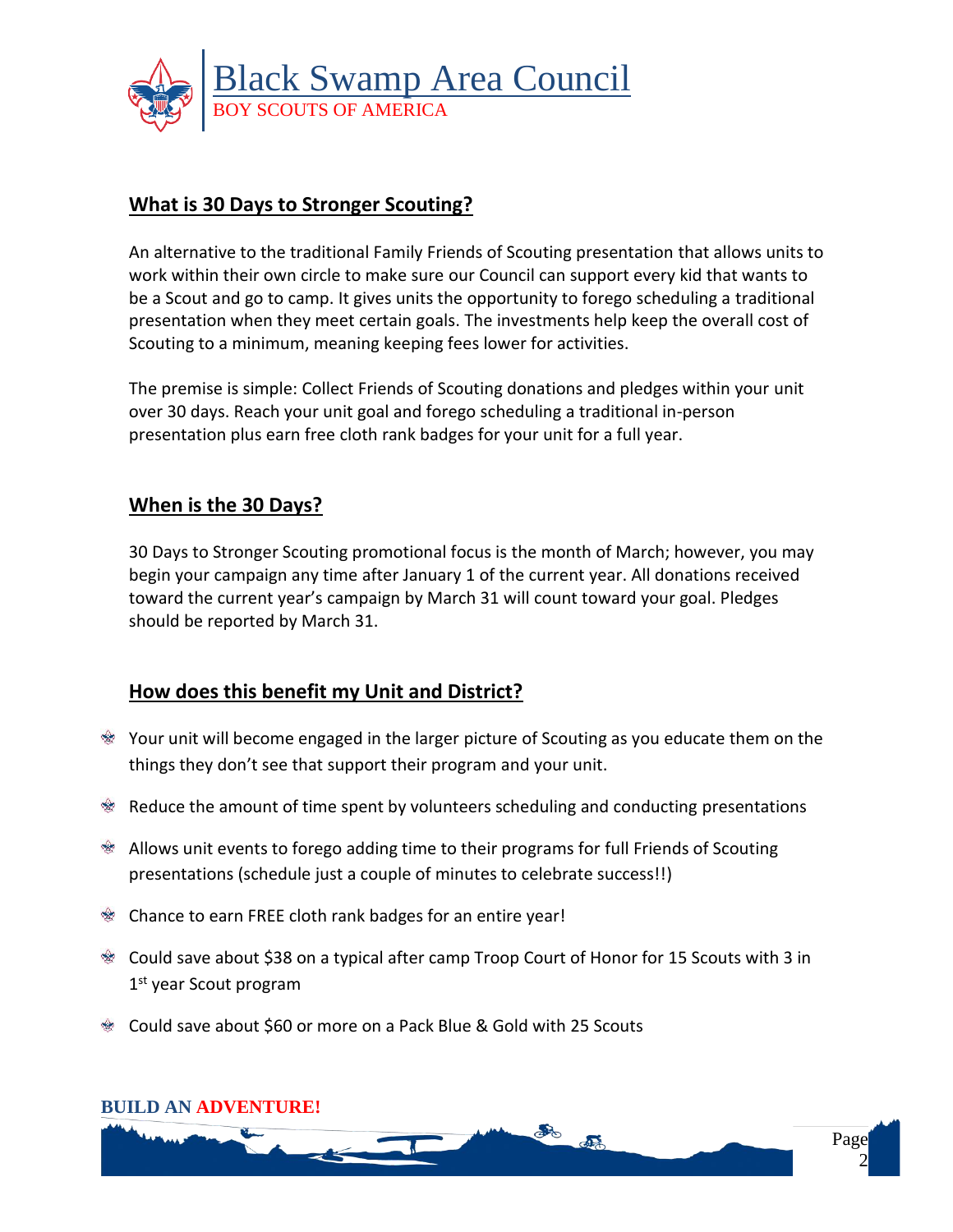

## **What is 30 Days to Stronger Scouting?**

An alternative to the traditional Family Friends of Scouting presentation that allows units to work within their own circle to make sure our Council can support every kid that wants to be a Scout and go to camp. It gives units the opportunity to forego scheduling a traditional presentation when they meet certain goals. The investments help keep the overall cost of Scouting to a minimum, meaning keeping fees lower for activities.

The premise is simple: Collect Friends of Scouting donations and pledges within your unit over 30 days. Reach your unit goal and forego scheduling a traditional in-person presentation plus earn free cloth rank badges for your unit for a full year.

# **When is the 30 Days?**

30 Days to Stronger Scouting promotional focus is the month of March; however, you may begin your campaign any time after January 1 of the current year. All donations received toward the current year's campaign by March 31 will count toward your goal. Pledges should be reported by March 31.

# **How does this benefit my Unit and District?**

- Your unit will become engaged in the larger picture of Scouting as you educate them on the things they don't see that support their program and your unit.
- $\mathcal{R}$  Reduce the amount of time spent by volunteers scheduling and conducting presentations
- Allows unit events to forego adding time to their programs for full Friends of Scouting presentations (schedule just a couple of minutes to celebrate success!!)
- Chance to earn FREE cloth rank badges for an entire year!
- Could save about \$38 on a typical after camp Troop Court of Honor for 15 Scouts with 3 in 1st year Scout program
- Could save about \$60 or more on a Pack Blue & Gold with 25 Scouts

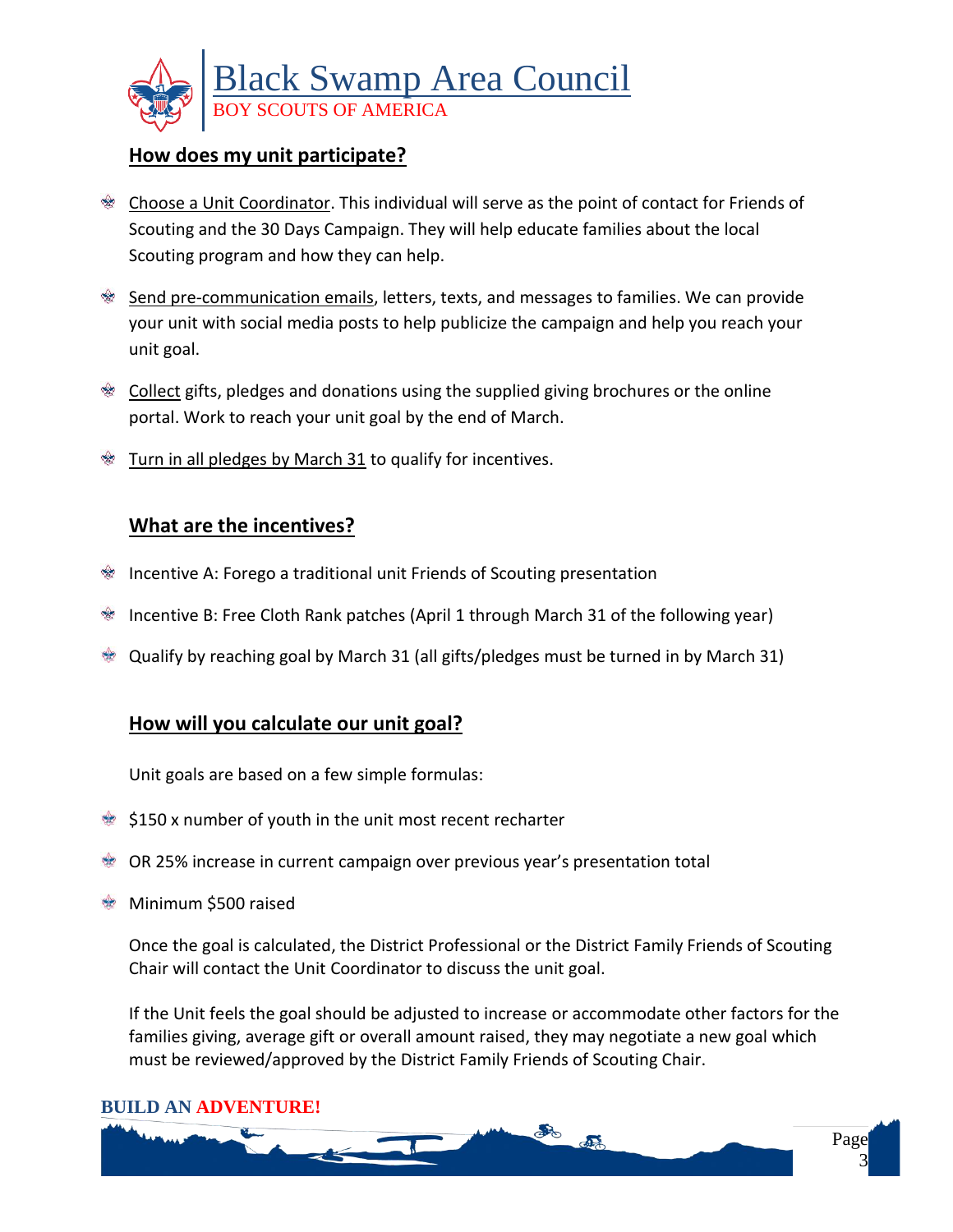

### **How does my unit participate?**

- **Choose a Unit Coordinator.** This individual will serve as the point of contact for Friends of Scouting and the 30 Days Campaign. They will help educate families about the local Scouting program and how they can help.
- Send pre-communication emails, letters, texts, and messages to families. We can provide your unit with social media posts to help publicize the campaign and help you reach your unit goal.
- **Examber 2** Collect gifts, pledges and donations using the supplied giving brochures or the online portal. Work to reach your unit goal by the end of March.
- Turn in all pledges by March 31 to qualify for incentives.

#### **What are the incentives?**

- Incentive A: Forego a traditional unit Friends of Scouting presentation
- Incentive B: Free Cloth Rank patches (April 1 through March 31 of the following year)
- Qualify by reaching goal by March 31 (all gifts/pledges must be turned in by March 31)

## **How will you calculate our unit goal?**

Unit goals are based on a few simple formulas:

- $\approx$  \$150 x number of youth in the unit most recent recharter
- OR 25% increase in current campaign over previous year's presentation total
- **Minimum \$500 raised**

Once the goal is calculated, the District Professional or the District Family Friends of Scouting Chair will contact the Unit Coordinator to discuss the unit goal.

If the Unit feels the goal should be adjusted to increase or accommodate other factors for the families giving, average gift or overall amount raised, they may negotiate a new goal which must be reviewed/approved by the District Family Friends of Scouting Chair.

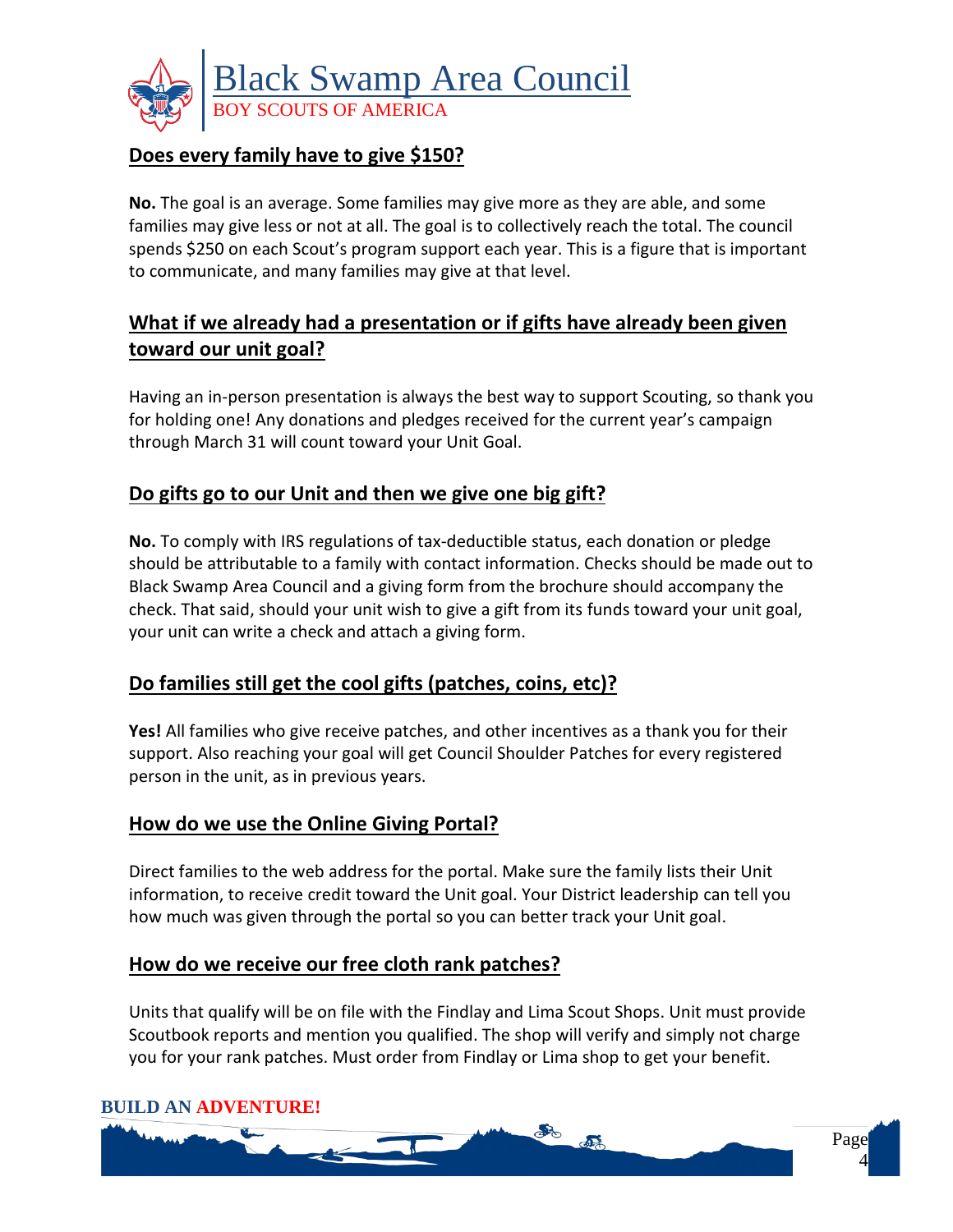

# **Does every family have to give \$150?**

**No.** The goal is an average. Some families may give more as they are able, and some families may give less or not at all. The goal is to collectively reach the total. The council spends \$250 on each Scout's program support each year. This is a figure that is important to communicate, and many families may give at that level.

# **What if we already had a presentation or if gifts have already been given toward our unit goal?**

Having an in-person presentation is always the best way to support Scouting, so thank you for holding one! Any donations and pledges received for the current year's campaign through March 31 will count toward your Unit Goal.

# **Do gifts go to our Unit and then we give one big gift?**

**No.** To comply with IRS regulations of tax-deductible status, each donation or pledge should be attributable to a family with contact information. Checks should be made out to Black Swamp Area Council and a giving form from the brochure should accompany the check. That said, should your unit wish to give a gift from its funds toward your unit goal, your unit can write a check and attach a giving form.

## **Do families still get the cool gifts (patches, coins, etc)?**

**Yes!** All families who give receive patches, and other incentives as a thank you for their support. Also reaching your goal will get Council Shoulder Patches for every registered person in the unit, as in previous years.

## **How do we use the Online Giving Portal?**

Direct families to the web address for the portal. Make sure the family lists their Unit information, to receive credit toward the Unit goal. Your District leadership can tell you how much was given through the portal so you can better track your Unit goal.

#### **How do we receive our free cloth rank patches?**

Units that qualify will be on file with the Findlay and Lima Scout Shops. Unit must provide Scoutbook reports and mention you qualified. The shop will verify and simply not charge you for your rank patches. Must order from Findlay or Lima shop to get your benefit.